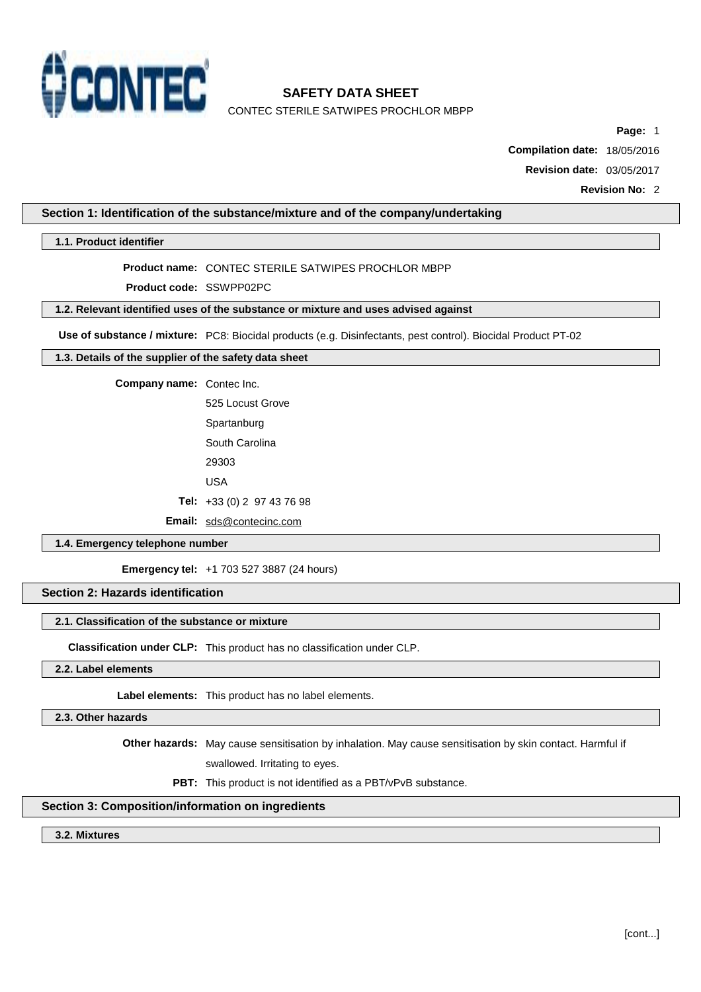

**Page:** 1

**Compilation date:** 18/05/2016

**Revision date:** 03/05/2017

**Revision No:** 2

# **Section 1: Identification of the substance/mixture and of the company/undertaking**

### **1.1. Product identifier**

# **Product name:** CONTEC STERILE SATWIPES PROCHLOR MBPP

**Product code:** SSWPP02PC

### **1.2. Relevant identified uses of the substance or mixture and uses advised against**

**Use of substance / mixture:** PC8: Biocidal products (e.g. Disinfectants, pest control). Biocidal Product PT-02

# **1.3. Details of the supplier of the safety data sheet**

**Company name:** Contec Inc.

525 Locust Grove **Spartanburg** South Carolina 29303 USA

**Tel:** +33 (0) 2 97 43 76 98

**Email:** [sds@contecinc.com](mailto:sds@contecinc.com)

### **1.4. Emergency telephone number**

**Emergency tel:** +1 703 527 3887 (24 hours)

### **Section 2: Hazards identification**

#### **2.1. Classification of the substance or mixture**

**Classification under CLP:** This product has no classification under CLP.

### **2.2. Label elements**

**Label elements:** This product has no label elements.

### **2.3. Other hazards**

**Other hazards:** May cause sensitisation by inhalation. May cause sensitisation by skin contact. Harmful if

swallowed. Irritating to eyes.

**PBT:** This product is not identified as a PBT/vPvB substance.

### **Section 3: Composition/information on ingredients**

### **3.2. Mixtures**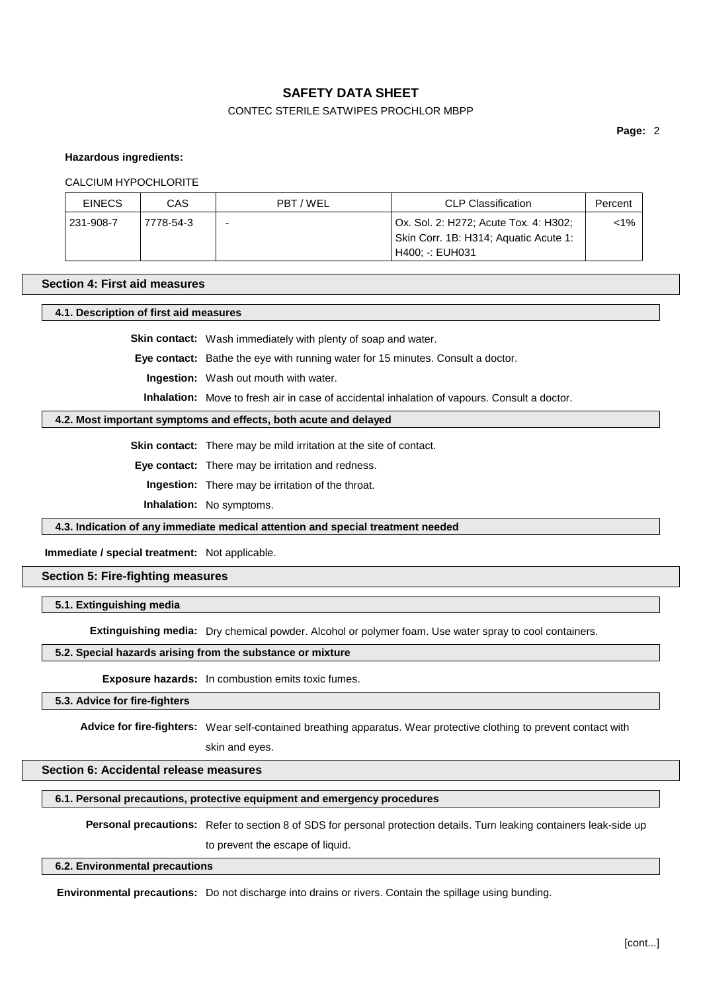# CONTEC STERILE SATWIPES PROCHLOR MBPP

**Page:** 2

### **Hazardous ingredients:**

### CALCIUM HYPOCHLORITE

| <b>EINECS</b> | CAS       | PBT/WEL                  | <b>CLP Classification</b>                                                      | Percent |
|---------------|-----------|--------------------------|--------------------------------------------------------------------------------|---------|
| 231-908-7     | 7778-54-3 | $\overline{\phantom{0}}$ | Ox. Sol. 2: H272; Acute Tox. 4: H302;<br>Skin Corr. 1B: H314; Aquatic Acute 1: | <1%     |
|               |           |                          | H400: -: EUH031                                                                |         |

### **Section 4: First aid measures**

# **4.1. Description of first aid measures**

**Skin contact:** Wash immediately with plenty of soap and water.

**Eye contact:** Bathe the eye with running water for 15 minutes. Consult a doctor.

**Ingestion:** Wash out mouth with water.

**Inhalation:** Move to fresh air in case of accidental inhalation of vapours. Consult a doctor.

### **4.2. Most important symptoms and effects, both acute and delayed**

**Skin contact:** There may be mild irritation at the site of contact.

**Eye contact:** There may be irritation and redness.

**Ingestion:** There may be irritation of the throat.

**Inhalation:** No symptoms.

**4.3. Indication of any immediate medical attention and special treatment needed**

### **Immediate / special treatment:** Not applicable.

# **Section 5: Fire-fighting measures**

### **5.1. Extinguishing media**

**Extinguishing media:** Dry chemical powder. Alcohol or polymer foam. Use water spray to cool containers.

### **5.2. Special hazards arising from the substance or mixture**

**Exposure hazards:** In combustion emits toxic fumes.

# **5.3. Advice for fire-fighters**

**Advice for fire-fighters:** Wear self-contained breathing apparatus. Wear protective clothing to prevent contact with

skin and eyes.

# **Section 6: Accidental release measures**

### **6.1. Personal precautions, protective equipment and emergency procedures**

**Personal precautions:** Refer to section 8 of SDS for personal protection details. Turn leaking containers leak-side up

to prevent the escape of liquid.

### **6.2. Environmental precautions**

**Environmental precautions:** Do not discharge into drains or rivers. Contain the spillage using bunding.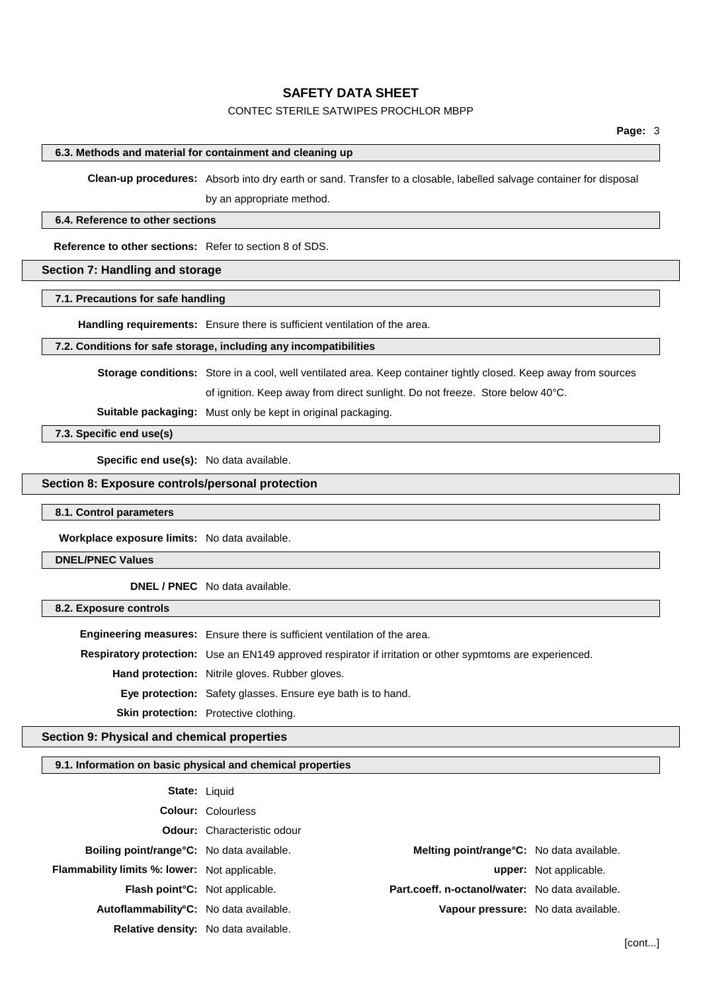# CONTEC STERILE SATWIPES PROCHLOR MBPP

### **6.3. Methods and material for containment and cleaning up**

**Clean-up procedures:** Absorb into dry earth or sand. Transfer to a closable, labelled salvage container for disposal by an appropriate method.

#### **6.4. Reference to other sections**

**Reference to other sections:** Refer to section 8 of SDS.

# **Section 7: Handling and storage**

### **7.1. Precautions for safe handling**

**Handling requirements:** Ensure there is sufficient ventilation of the area.

### **7.2. Conditions for safe storage, including any incompatibilities**

**Storage conditions:** Store in a cool, well ventilated area. Keep container tightly closed. Keep away from sources

of ignition. Keep away from direct sunlight. Do not freeze. Store below 40°C.

**Suitable packaging:** Must only be kept in original packaging.

**7.3. Specific end use(s)**

**Specific end use(s):** No data available.

# **Section 8: Exposure controls/personal protection**

#### **8.1. Control parameters**

**Workplace exposure limits:** No data available.

### **DNEL/PNEC Values**

**DNEL / PNEC** No data available.

### **8.2. Exposure controls**

**Engineering measures:** Ensure there is sufficient ventilation of the area. **Respiratory protection:** Use an EN149 approved respirator if irritation or other sypmtoms are experienced. **Hand protection:** Nitrile gloves. Rubber gloves. **Eye protection:** Safety glasses. Ensure eye bath is to hand. **Skin protection:** Protective clothing.

### **Section 9: Physical and chemical properties**

### **9.1. Information on basic physical and chemical properties**

| <b>State: Liquid</b>                                 |                                    |                                                   |                               |
|------------------------------------------------------|------------------------------------|---------------------------------------------------|-------------------------------|
|                                                      | <b>Colour: Colourless</b>          |                                                   |                               |
|                                                      | <b>Odour:</b> Characteristic odour |                                                   |                               |
| <b>Boiling point/range °C:</b> No data available.    |                                    | <b>Melting point/range °C:</b> No data available. |                               |
| <b>Flammability limits %: lower:</b> Not applicable. |                                    |                                                   | <b>upper:</b> Not applicable. |
| Flash point <sup>°</sup> C: Not applicable.          |                                    | Part.coeff. n-octanol/water: No data available.   |                               |
| Autoflammability°C: No data available.               |                                    | Vapour pressure: No data available.               |                               |
| <b>Relative density:</b> No data available.          |                                    |                                                   |                               |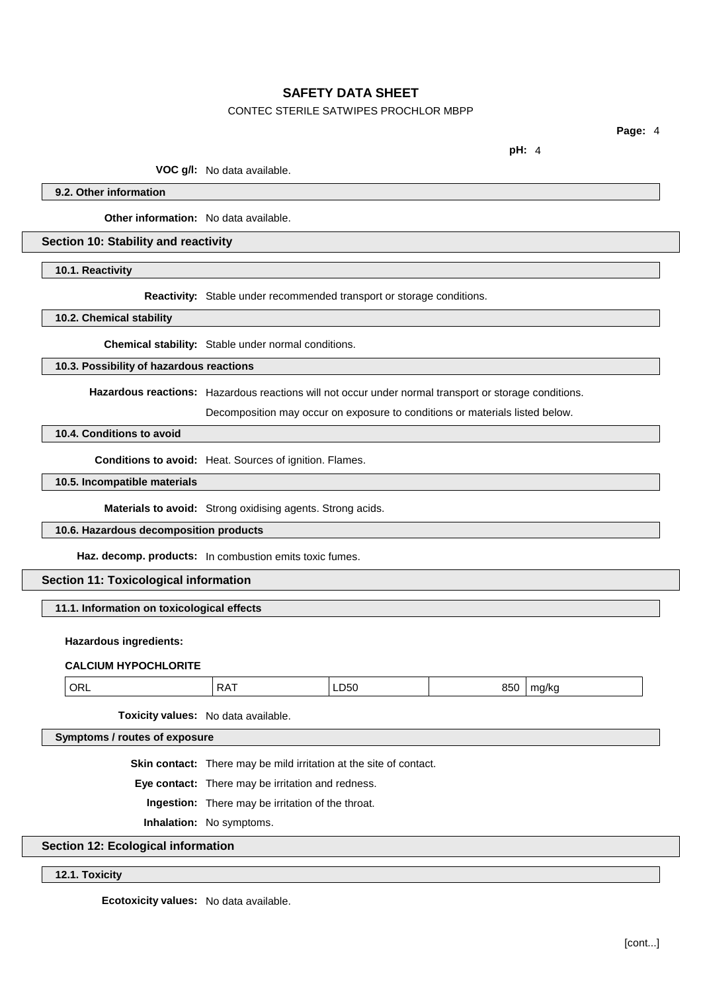# CONTEC STERILE SATWIPES PROCHLOR MBPP

**Page:** 4

**pH:** 4

**VOC g/l:** No data available.

**9.2. Other information**

**Other information:** No data available.

### **Section 10: Stability and reactivity**

**10.1. Reactivity**

**Reactivity:** Stable under recommended transport or storage conditions.

**10.2. Chemical stability**

**Chemical stability:** Stable under normal conditions.

# **10.3. Possibility of hazardous reactions**

**Hazardous reactions:** Hazardous reactions will not occur under normal transport or storage conditions.

Decomposition may occur on exposure to conditions or materials listed below.

# **10.4. Conditions to avoid**

**Conditions to avoid:** Heat. Sources of ignition. Flames.

# **10.5. Incompatible materials**

**Materials to avoid:** Strong oxidising agents. Strong acids.

## **10.6. Hazardous decomposition products**

**Haz. decomp. products:** In combustion emits toxic fumes.

# **Section 11: Toxicological information**

## **11.1. Information on toxicological effects**

# **Hazardous ingredients:**

## **CALCIUM HYPOCHLORITE**

| ' ORL<br>850<br><b>DAT</b><br>–050 —<br>ma/ka<br>ו רע ו |
|---------------------------------------------------------|
|---------------------------------------------------------|

**Toxicity values:** No data available.

**Symptoms / routes of exposure**

**Skin contact:** There may be mild irritation at the site of contact.

**Eye contact:** There may be irritation and redness.

**Ingestion:** There may be irritation of the throat.

**Inhalation:** No symptoms.

# **Section 12: Ecological information**

## **12.1. Toxicity**

**Ecotoxicity values:** No data available.